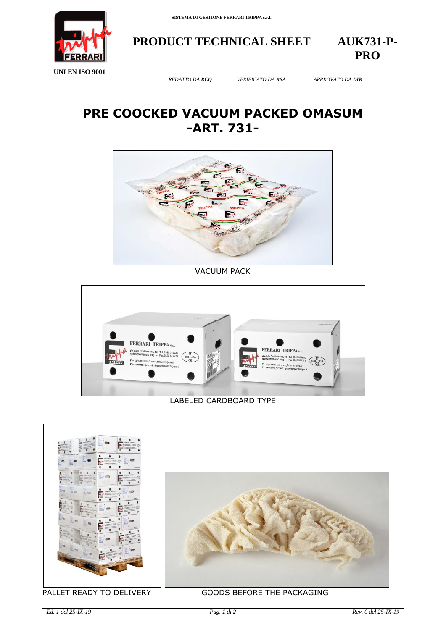

**PRODUCT TECHNICAL SHEET AUK731-P-**

**PRO**

**UNI EN ISO 9001**

## **PRE COOCKED VACUUM PACKED OMASUM -ART. 731-**



VACUUM PACK



## LABELED CARDBOARD TYPE





## PALLET READY TO DELIVERY GOODS BEFORE THE PACKAGING